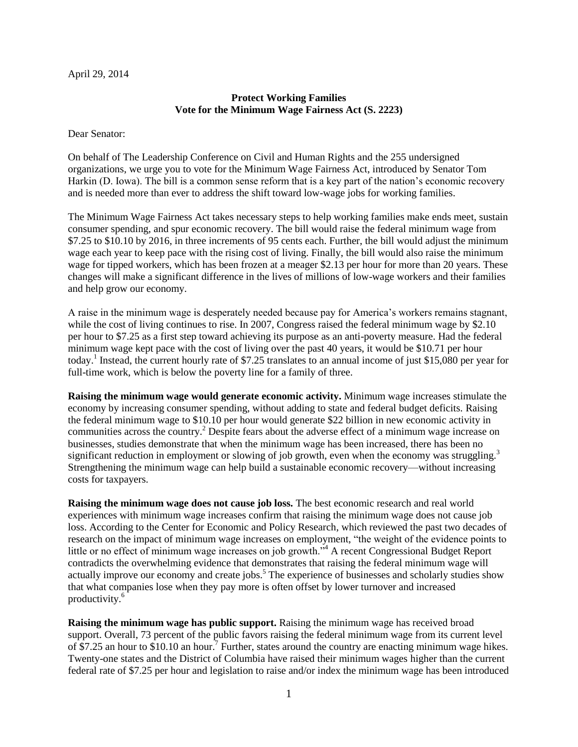## April 29, 2014

## **Protect Working Families Vote for the Minimum Wage Fairness Act (S. 2223)**

Dear Senator:

On behalf of The Leadership Conference on Civil and Human Rights and the 255 undersigned organizations, we urge you to vote for the Minimum Wage Fairness Act, introduced by Senator Tom Harkin (D. Iowa). The bill is a common sense reform that is a key part of the nation's economic recovery and is needed more than ever to address the shift toward low-wage jobs for working families.

The Minimum Wage Fairness Act takes necessary steps to help working families make ends meet, sustain consumer spending, and spur economic recovery. The bill would raise the federal minimum wage from \$7.25 to \$10.10 by 2016, in three increments of 95 cents each. Further, the bill would adjust the minimum wage each year to keep pace with the rising cost of living. Finally, the bill would also raise the minimum wage for tipped workers, which has been frozen at a meager \$2.13 per hour for more than 20 years. These changes will make a significant difference in the lives of millions of low-wage workers and their families and help grow our economy.

A raise in the minimum wage is desperately needed because pay for America's workers remains stagnant, while the cost of living continues to rise. In 2007, Congress raised the federal minimum wage by \$2.10 per hour to \$7.25 as a first step toward achieving its purpose as an anti-poverty measure. Had the federal minimum wage kept pace with the cost of living over the past 40 years, it would be \$10.71 per hour today.<sup>1</sup> Instead, the current hourly rate of \$7.25 translates to an annual income of just \$15,080 per year for full-time work, which is below the poverty line for a family of three.

**Raising the minimum wage would generate economic activity.** Minimum wage increases stimulate the economy by increasing consumer spending, without adding to state and federal budget deficits. Raising the federal minimum wage to \$10.10 per hour would generate \$22 billion in new economic activity in communities across the country.<sup>2</sup> Despite fears about the adverse effect of a minimum wage increase on businesses, studies demonstrate that when the minimum wage has been increased, there has been no significant reduction in employment or slowing of job growth, even when the economy was struggling.<sup>3</sup> Strengthening the minimum wage can help build a sustainable economic recovery—without increasing costs for taxpayers.

**Raising the minimum wage does not cause job loss.** The best economic research and real world experiences with minimum wage increases confirm that raising the minimum wage does not cause job loss. According to the Center for Economic and Policy Research, which reviewed the past two decades of research on the impact of minimum wage increases on employment, "the weight of the evidence points to little or no effect of minimum wage increases on job growth."<sup>4</sup> A recent Congressional Budget Report contradicts the overwhelming evidence that demonstrates that raising the federal minimum wage will actually improve our economy and create jobs.<sup>5</sup> The experience of businesses and scholarly studies show that what companies lose when they pay more is often offset by lower turnover and increased productivity.<sup>6</sup>

**Raising the minimum wage has public support.** Raising the minimum wage has received broad support. Overall, 73 percent of the public favors raising the federal minimum wage from its current level of  $\hat{\$7.25}$  an hour to  $\$10.10$  an hour.<sup>7</sup> Further, states around the country are enacting minimum wage hikes. Twenty-one states and the District of Columbia have raised their minimum wages higher than the current federal rate of \$7.25 per hour and legislation to raise and/or index the minimum wage has been introduced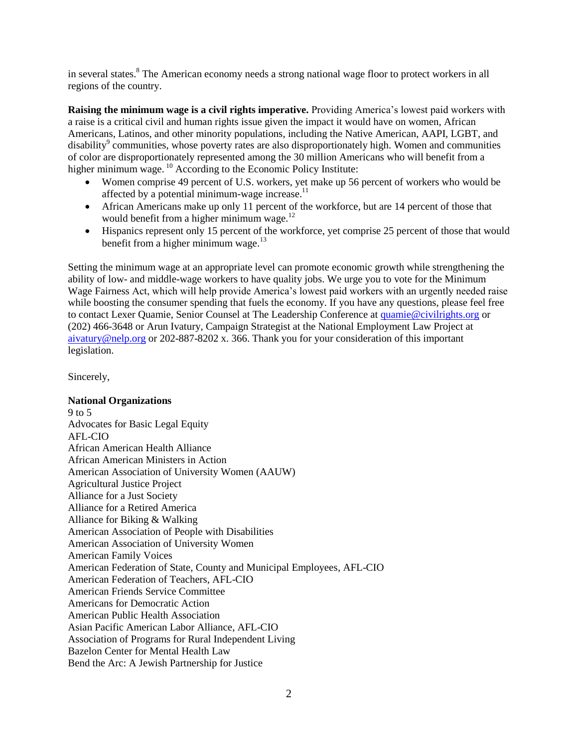in several states.<sup>8</sup> The American economy needs a strong national wage floor to protect workers in all regions of the country.

**Raising the minimum wage is a civil rights imperative.** Providing America's lowest paid workers with a raise is a critical civil and human rights issue given the impact it would have on women, African Americans, Latinos, and other minority populations, including the Native American, AAPI, LGBT, and disability $\degree$  communities, whose poverty rates are also disproportionately high. Women and communities of color are disproportionately represented among the 30 million Americans who will benefit from a higher minimum wage. <sup>10</sup> According to the Economic Policy Institute:

- Women comprise 49 percent of U.S. workers, yet make up 56 percent of workers who would be affected by a potential minimum-wage increase.<sup>11</sup>
- African Americans make up only 11 percent of the workforce, but are 14 percent of those that would benefit from a higher minimum wage.<sup>12</sup>
- Hispanics represent only 15 percent of the workforce, yet comprise 25 percent of those that would benefit from a higher minimum wage. $13$

Setting the minimum wage at an appropriate level can promote economic growth while strengthening the ability of low- and middle-wage workers to have quality jobs. We urge you to vote for the Minimum Wage Fairness Act, which will help provide America's lowest paid workers with an urgently needed raise while boosting the consumer spending that fuels the economy. If you have any questions, please feel free to contact Lexer Quamie, Senior Counsel at The Leadership Conference at [quamie@civilrights.org](mailto:quamie@civilrights.org) or (202) 466-3648 or Arun Ivatury, Campaign Strategist at the National Employment Law Project at [aivatury@nelp.org](mailto:aivatury@nelp.org) or 202-887-8202 x. 366. Thank you for your consideration of this important legislation.

Sincerely,

## **National Organizations**

9 to 5 Advocates for Basic Legal Equity AFL-CIO African American Health Alliance African American Ministers in Action American Association of University Women (AAUW) Agricultural Justice Project Alliance for a Just Society Alliance for a Retired America Alliance for Biking & Walking American Association of People with Disabilities American Association of University Women American Family Voices American Federation of State, County and Municipal Employees, AFL-CIO American Federation of Teachers, AFL-CIO American Friends Service Committee Americans for Democratic Action American Public Health Association Asian Pacific American Labor Alliance, AFL-CIO Association of Programs for Rural Independent Living Bazelon Center for Mental Health Law Bend the Arc: A Jewish Partnership for Justice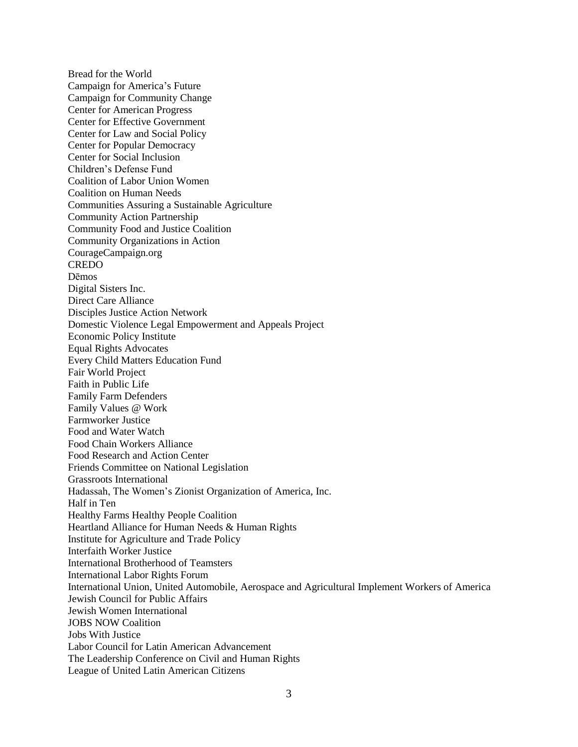Bread for the World Campaign for America's Future Campaign for Community Change Center for American Progress Center for Effective Government Center for Law and Social Policy Center for Popular Democracy Center for Social Inclusion Children's Defense Fund Coalition of Labor Union Women Coalition on Human Needs Communities Assuring a Sustainable Agriculture Community Action Partnership Community Food and Justice Coalition Community Organizations in Action CourageCampaign.org CREDO Dēmos Digital Sisters Inc. Direct Care Alliance Disciples Justice Action Network Domestic Violence Legal Empowerment and Appeals Project Economic Policy Institute Equal Rights Advocates Every Child Matters Education Fund Fair World Project Faith in Public Life Family Farm Defenders Family Values @ Work Farmworker Justice Food and Water Watch Food Chain Workers Alliance Food Research and Action Center Friends Committee on National Legislation Grassroots International Hadassah, The Women's Zionist Organization of America, Inc. Half in Ten Healthy Farms Healthy People Coalition Heartland Alliance for Human Needs & Human Rights Institute for Agriculture and Trade Policy Interfaith Worker Justice International Brotherhood of Teamsters International Labor Rights Forum International Union, United Automobile, Aerospace and Agricultural Implement Workers of America Jewish Council for Public Affairs Jewish Women International JOBS NOW Coalition Jobs With Justice Labor Council for Latin American Advancement The Leadership Conference on Civil and Human Rights League of United Latin American Citizens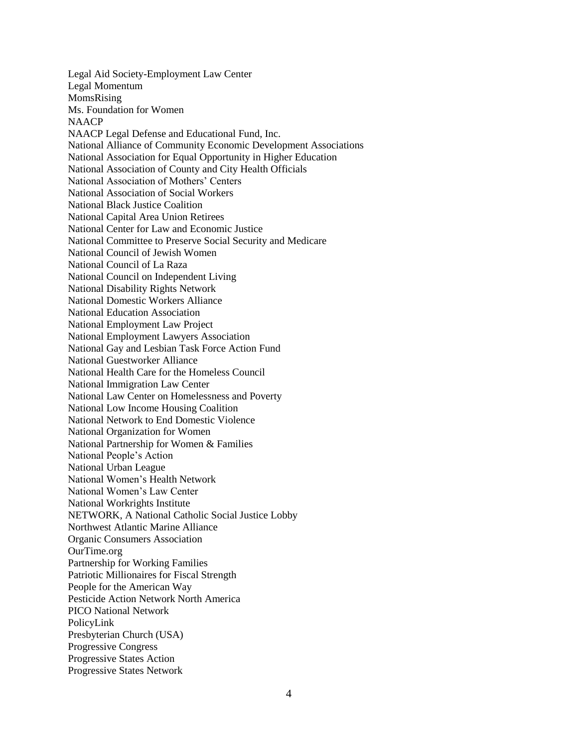Legal Aid Society-Employment Law Center Legal Momentum MomsRising Ms. Foundation for Women NAACP NAACP Legal Defense and Educational Fund, Inc. National Alliance of Community Economic Development Associations National Association for Equal Opportunity in Higher Education National Association of County and City Health Officials National Association of Mothers' Centers National Association of Social Workers National Black Justice Coalition National Capital Area Union Retirees National Center for Law and Economic Justice National Committee to Preserve Social Security and Medicare National Council of Jewish Women National Council of La Raza National Council on Independent Living National Disability Rights Network National Domestic Workers Alliance National Education Association National Employment Law Project National Employment Lawyers Association National Gay and Lesbian Task Force Action Fund National Guestworker Alliance National Health Care for the Homeless Council National Immigration Law Center National Law Center on Homelessness and Poverty National Low Income Housing Coalition National Network to End Domestic Violence National Organization for Women National Partnership for Women & Families National People's Action National Urban League National Women's Health Network National Women's Law Center National Workrights Institute NETWORK, A National Catholic Social Justice Lobby Northwest Atlantic Marine Alliance Organic Consumers Association OurTime.org Partnership for Working Families Patriotic Millionaires for Fiscal Strength People for the American Way Pesticide Action Network North America PICO National Network PolicyLink Presbyterian Church (USA) Progressive Congress Progressive States Action Progressive States Network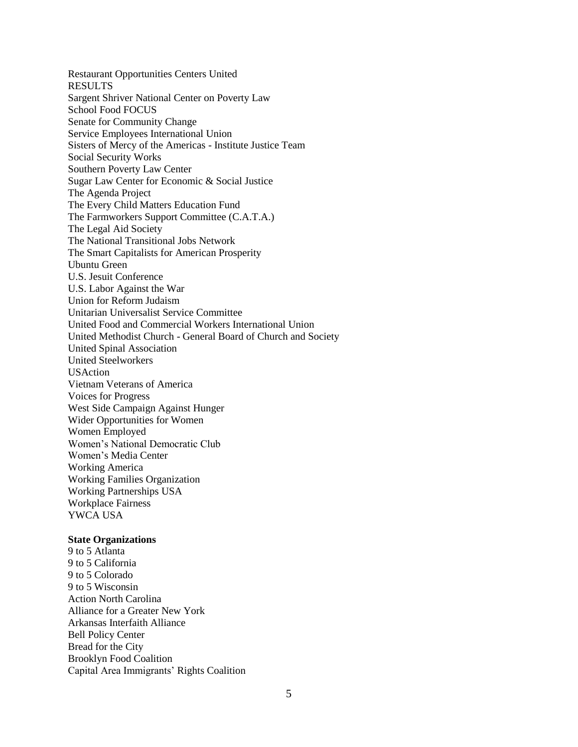Restaurant Opportunities Centers United RESULTS Sargent Shriver National Center on Poverty Law School Food FOCUS Senate for Community Change Service Employees International Union Sisters of Mercy of the Americas - Institute Justice Team Social Security Works Southern Poverty Law Center Sugar Law Center for Economic & Social Justice The Agenda Project The Every Child Matters Education Fund The Farmworkers Support Committee (C.A.T.A.) The Legal Aid Society The National Transitional Jobs Network The Smart Capitalists for American Prosperity Ubuntu Green U.S. Jesuit Conference U.S. Labor Against the War Union for Reform Judaism Unitarian Universalist Service Committee United Food and Commercial Workers International Union United Methodist Church - General Board of Church and Society United Spinal Association United Steelworkers USAction Vietnam Veterans of America Voices for Progress West Side Campaign Against Hunger Wider Opportunities for Women Women Employed Women's National Democratic Club Women's Media Center Working America Working Families Organization Working Partnerships USA Workplace Fairness YWCA USA

## **State Organizations**

9 to 5 Atlanta 9 to 5 California 9 to 5 Colorado 9 to 5 Wisconsin Action North Carolina Alliance for a Greater New York Arkansas Interfaith Alliance Bell Policy Center Bread for the City Brooklyn Food Coalition Capital Area Immigrants' Rights Coalition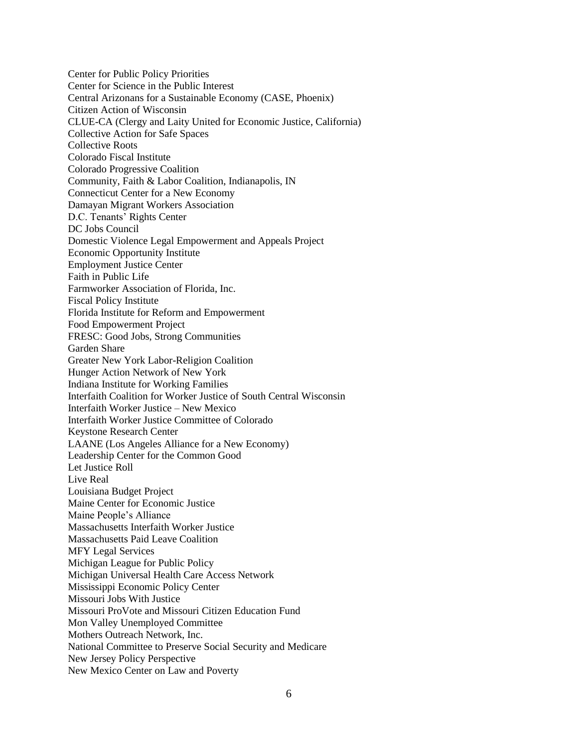Center for Public Policy Priorities Center for Science in the Public Interest Central Arizonans for a Sustainable Economy (CASE, Phoenix) Citizen Action of Wisconsin CLUE-CA (Clergy and Laity United for Economic Justice, California) Collective Action for Safe Spaces Collective Roots Colorado Fiscal Institute Colorado Progressive Coalition Community, Faith & Labor Coalition, Indianapolis, IN Connecticut Center for a New Economy Damayan Migrant Workers Association D.C. Tenants' Rights Center DC Jobs Council Domestic Violence Legal Empowerment and Appeals Project Economic Opportunity Institute Employment Justice Center Faith in Public Life Farmworker Association of Florida, Inc. Fiscal Policy Institute Florida Institute for Reform and Empowerment Food Empowerment Project FRESC: Good Jobs, Strong Communities Garden Share Greater New York Labor-Religion Coalition Hunger Action Network of New York Indiana Institute for Working Families Interfaith Coalition for Worker Justice of South Central Wisconsin Interfaith Worker Justice – New Mexico Interfaith Worker Justice Committee of Colorado Keystone Research Center LAANE (Los Angeles Alliance for a New Economy) Leadership Center for the Common Good Let Justice Roll Live Real Louisiana Budget Project Maine Center for Economic Justice Maine People's Alliance Massachusetts Interfaith Worker Justice Massachusetts Paid Leave Coalition MFY Legal Services Michigan League for Public Policy Michigan Universal Health Care Access Network Mississippi Economic Policy Center Missouri Jobs With Justice Missouri ProVote and Missouri Citizen Education Fund Mon Valley Unemployed Committee Mothers Outreach Network, Inc. National Committee to Preserve Social Security and Medicare New Jersey Policy Perspective New Mexico Center on Law and Poverty